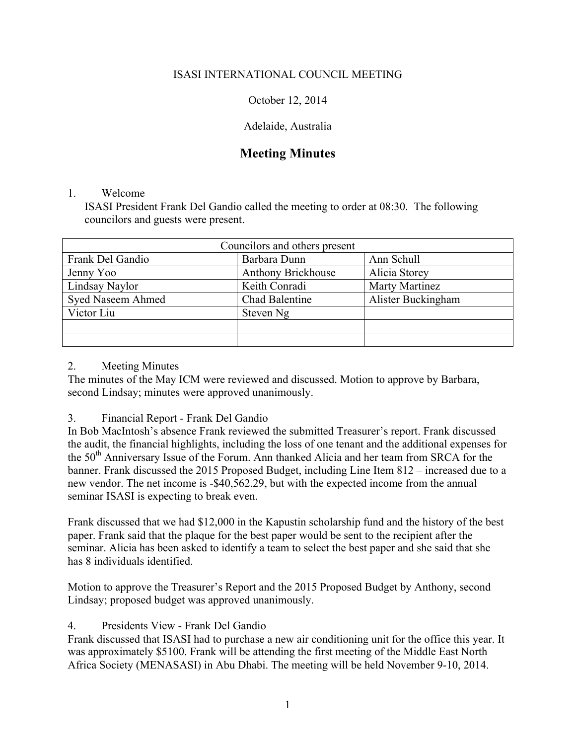## ISASI INTERNATIONAL COUNCIL MEETING

October 12, 2014

## Adelaide, Australia

# **Meeting Minutes**

#### 1. Welcome

ISASI President Frank Del Gandio called the meeting to order at 08:30. The following councilors and guests were present.

| Councilors and others present |                           |                       |
|-------------------------------|---------------------------|-----------------------|
| Frank Del Gandio              | Barbara Dunn              | Ann Schull            |
| Jenny Yoo                     | <b>Anthony Brickhouse</b> | Alicia Storey         |
| Lindsay Naylor                | Keith Conradi             | <b>Marty Martinez</b> |
| <b>Syed Naseem Ahmed</b>      | Chad Balentine            | Alister Buckingham    |
| Victor Liu                    | Steven Ng                 |                       |
|                               |                           |                       |
|                               |                           |                       |

#### 2. Meeting Minutes

The minutes of the May ICM were reviewed and discussed. Motion to approve by Barbara, second Lindsay; minutes were approved unanimously.

## 3. Financial Report - Frank Del Gandio

In Bob MacIntosh's absence Frank reviewed the submitted Treasurer's report. Frank discussed the audit, the financial highlights, including the loss of one tenant and the additional expenses for the 50<sup>th</sup> Anniversary Issue of the Forum. Ann thanked Alicia and her team from SRCA for the banner. Frank discussed the 2015 Proposed Budget, including Line Item 812 – increased due to a new vendor. The net income is -\$40,562.29, but with the expected income from the annual seminar ISASI is expecting to break even.

Frank discussed that we had \$12,000 in the Kapustin scholarship fund and the history of the best paper. Frank said that the plaque for the best paper would be sent to the recipient after the seminar. Alicia has been asked to identify a team to select the best paper and she said that she has 8 individuals identified.

Motion to approve the Treasurer's Report and the 2015 Proposed Budget by Anthony, second Lindsay; proposed budget was approved unanimously.

# 4. Presidents View - Frank Del Gandio

Frank discussed that ISASI had to purchase a new air conditioning unit for the office this year. It was approximately \$5100. Frank will be attending the first meeting of the Middle East North Africa Society (MENASASI) in Abu Dhabi. The meeting will be held November 9-10, 2014.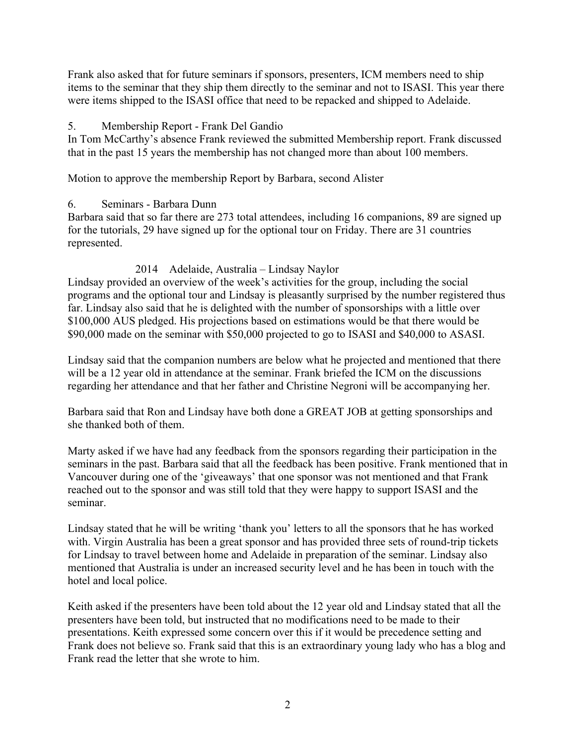Frank also asked that for future seminars if sponsors, presenters, ICM members need to ship items to the seminar that they ship them directly to the seminar and not to ISASI. This year there were items shipped to the ISASI office that need to be repacked and shipped to Adelaide.

## 5. Membership Report - Frank Del Gandio

In Tom McCarthy's absence Frank reviewed the submitted Membership report. Frank discussed that in the past 15 years the membership has not changed more than about 100 members.

Motion to approve the membership Report by Barbara, second Alister

# 6. Seminars - Barbara Dunn

Barbara said that so far there are 273 total attendees, including 16 companions, 89 are signed up for the tutorials, 29 have signed up for the optional tour on Friday. There are 31 countries represented.

# 2014 Adelaide, Australia – Lindsay Naylor

Lindsay provided an overview of the week's activities for the group, including the social programs and the optional tour and Lindsay is pleasantly surprised by the number registered thus far. Lindsay also said that he is delighted with the number of sponsorships with a little over \$100,000 AUS pledged. His projections based on estimations would be that there would be \$90,000 made on the seminar with \$50,000 projected to go to ISASI and \$40,000 to ASASI.

Lindsay said that the companion numbers are below what he projected and mentioned that there will be a 12 year old in attendance at the seminar. Frank briefed the ICM on the discussions regarding her attendance and that her father and Christine Negroni will be accompanying her.

Barbara said that Ron and Lindsay have both done a GREAT JOB at getting sponsorships and she thanked both of them.

Marty asked if we have had any feedback from the sponsors regarding their participation in the seminars in the past. Barbara said that all the feedback has been positive. Frank mentioned that in Vancouver during one of the 'giveaways' that one sponsor was not mentioned and that Frank reached out to the sponsor and was still told that they were happy to support ISASI and the seminar.

Lindsay stated that he will be writing 'thank you' letters to all the sponsors that he has worked with. Virgin Australia has been a great sponsor and has provided three sets of round-trip tickets for Lindsay to travel between home and Adelaide in preparation of the seminar. Lindsay also mentioned that Australia is under an increased security level and he has been in touch with the hotel and local police.

Keith asked if the presenters have been told about the 12 year old and Lindsay stated that all the presenters have been told, but instructed that no modifications need to be made to their presentations. Keith expressed some concern over this if it would be precedence setting and Frank does not believe so. Frank said that this is an extraordinary young lady who has a blog and Frank read the letter that she wrote to him.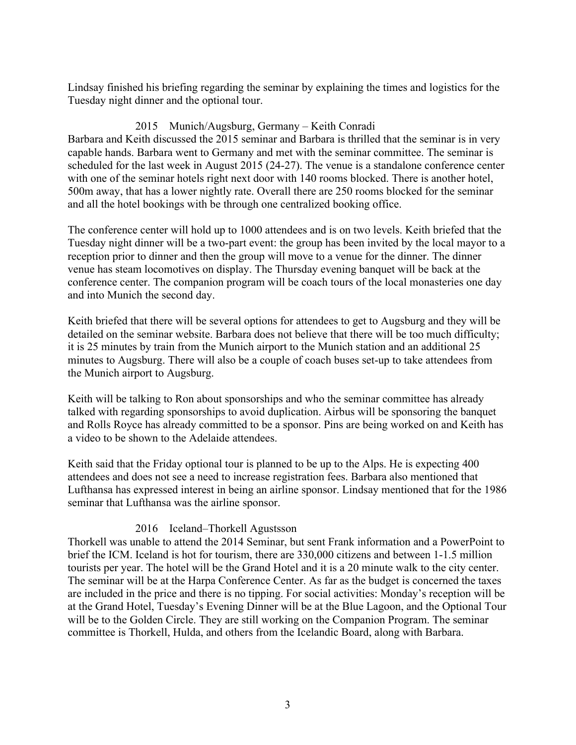Lindsay finished his briefing regarding the seminar by explaining the times and logistics for the Tuesday night dinner and the optional tour.

# 2015 Munich/Augsburg, Germany – Keith Conradi

Barbara and Keith discussed the 2015 seminar and Barbara is thrilled that the seminar is in very capable hands. Barbara went to Germany and met with the seminar committee. The seminar is scheduled for the last week in August 2015 (24-27). The venue is a standalone conference center with one of the seminar hotels right next door with 140 rooms blocked. There is another hotel, 500m away, that has a lower nightly rate. Overall there are 250 rooms blocked for the seminar and all the hotel bookings with be through one centralized booking office.

The conference center will hold up to 1000 attendees and is on two levels. Keith briefed that the Tuesday night dinner will be a two-part event: the group has been invited by the local mayor to a reception prior to dinner and then the group will move to a venue for the dinner. The dinner venue has steam locomotives on display. The Thursday evening banquet will be back at the conference center. The companion program will be coach tours of the local monasteries one day and into Munich the second day.

Keith briefed that there will be several options for attendees to get to Augsburg and they will be detailed on the seminar website. Barbara does not believe that there will be too much difficulty; it is 25 minutes by train from the Munich airport to the Munich station and an additional 25 minutes to Augsburg. There will also be a couple of coach buses set-up to take attendees from the Munich airport to Augsburg.

Keith will be talking to Ron about sponsorships and who the seminar committee has already talked with regarding sponsorships to avoid duplication. Airbus will be sponsoring the banquet and Rolls Royce has already committed to be a sponsor. Pins are being worked on and Keith has a video to be shown to the Adelaide attendees.

Keith said that the Friday optional tour is planned to be up to the Alps. He is expecting 400 attendees and does not see a need to increase registration fees. Barbara also mentioned that Lufthansa has expressed interest in being an airline sponsor. Lindsay mentioned that for the 1986 seminar that Lufthansa was the airline sponsor.

## 2016 Iceland–Thorkell Agustsson

Thorkell was unable to attend the 2014 Seminar, but sent Frank information and a PowerPoint to brief the ICM. Iceland is hot for tourism, there are 330,000 citizens and between 1-1.5 million tourists per year. The hotel will be the Grand Hotel and it is a 20 minute walk to the city center. The seminar will be at the Harpa Conference Center. As far as the budget is concerned the taxes are included in the price and there is no tipping. For social activities: Monday's reception will be at the Grand Hotel, Tuesday's Evening Dinner will be at the Blue Lagoon, and the Optional Tour will be to the Golden Circle. They are still working on the Companion Program. The seminar committee is Thorkell, Hulda, and others from the Icelandic Board, along with Barbara.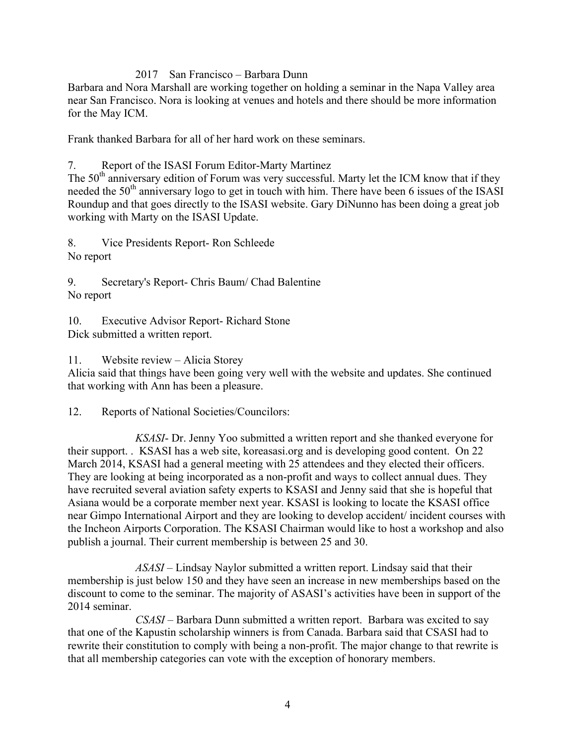#### 2017 San Francisco – Barbara Dunn

Barbara and Nora Marshall are working together on holding a seminar in the Napa Valley area near San Francisco. Nora is looking at venues and hotels and there should be more information for the May ICM.

Frank thanked Barbara for all of her hard work on these seminars.

7. Report of the ISASI Forum Editor-Marty Martinez

The  $50<sup>th</sup>$  anniversary edition of Forum was very successful. Marty let the ICM know that if they needed the 50<sup>th</sup> anniversary logo to get in touch with him. There have been 6 issues of the ISASI Roundup and that goes directly to the ISASI website. Gary DiNunno has been doing a great job working with Marty on the ISASI Update.

8. Vice Presidents Report- Ron Schleede No report

9. Secretary's Report- Chris Baum/ Chad Balentine No report

10. Executive Advisor Report- Richard Stone Dick submitted a written report.

11. Website review – Alicia Storey

Alicia said that things have been going very well with the website and updates. She continued that working with Ann has been a pleasure.

12. Reports of National Societies/Councilors:

*KSASI*- Dr. Jenny Yoo submitted a written report and she thanked everyone for their support. . KSASI has a web site, koreasasi.org and is developing good content. On 22 March 2014, KSASI had a general meeting with 25 attendees and they elected their officers. They are looking at being incorporated as a non-profit and ways to collect annual dues. They have recruited several aviation safety experts to KSASI and Jenny said that she is hopeful that Asiana would be a corporate member next year. KSASI is looking to locate the KSASI office near Gimpo International Airport and they are looking to develop accident/ incident courses with the Incheon Airports Corporation. The KSASI Chairman would like to host a workshop and also publish a journal. Their current membership is between 25 and 30.

*ASASI –* Lindsay Naylor submitted a written report. Lindsay said that their membership is just below 150 and they have seen an increase in new memberships based on the discount to come to the seminar. The majority of ASASI's activities have been in support of the 2014 seminar.

*CSASI –* Barbara Dunn submitted a written report. Barbara was excited to say that one of the Kapustin scholarship winners is from Canada. Barbara said that CSASI had to rewrite their constitution to comply with being a non-profit. The major change to that rewrite is that all membership categories can vote with the exception of honorary members.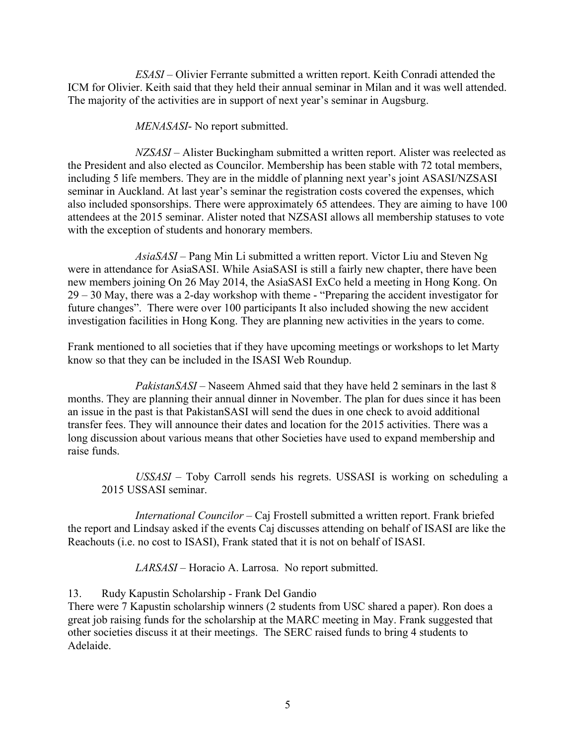*ESASI –* Olivier Ferrante submitted a written report. Keith Conradi attended the ICM for Olivier. Keith said that they held their annual seminar in Milan and it was well attended. The majority of the activities are in support of next year's seminar in Augsburg.

*MENASASI*- No report submitted.

*NZSASI –* Alister Buckingham submitted a written report. Alister was reelected as the President and also elected as Councilor. Membership has been stable with 72 total members, including 5 life members. They are in the middle of planning next year's joint ASASI/NZSASI seminar in Auckland. At last year's seminar the registration costs covered the expenses, which also included sponsorships. There were approximately 65 attendees. They are aiming to have 100 attendees at the 2015 seminar. Alister noted that NZSASI allows all membership statuses to vote with the exception of students and honorary members.

*AsiaSASI –* Pang Min Li submitted a written report. Victor Liu and Steven Ng were in attendance for AsiaSASI. While AsiaSASI is still a fairly new chapter, there have been new members joining On 26 May 2014, the AsiaSASI ExCo held a meeting in Hong Kong. On 29 – 30 May, there was a 2-day workshop with theme - "Preparing the accident investigator for future changes". There were over 100 participants It also included showing the new accident investigation facilities in Hong Kong. They are planning new activities in the years to come.

Frank mentioned to all societies that if they have upcoming meetings or workshops to let Marty know so that they can be included in the ISASI Web Roundup.

*PakistanSASI* – Naseem Ahmed said that they have held 2 seminars in the last 8 months. They are planning their annual dinner in November. The plan for dues since it has been an issue in the past is that PakistanSASI will send the dues in one check to avoid additional transfer fees. They will announce their dates and location for the 2015 activities. There was a long discussion about various means that other Societies have used to expand membership and raise funds.

*USSASI* – Toby Carroll sends his regrets. USSASI is working on scheduling a 2015 USSASI seminar.

*International Councilor –* Caj Frostell submitted a written report. Frank briefed the report and Lindsay asked if the events Caj discusses attending on behalf of ISASI are like the Reachouts (i.e. no cost to ISASI), Frank stated that it is not on behalf of ISASI.

*LARSASI* – Horacio A. Larrosa. No report submitted.

13. Rudy Kapustin Scholarship - Frank Del Gandio

There were 7 Kapustin scholarship winners (2 students from USC shared a paper). Ron does a great job raising funds for the scholarship at the MARC meeting in May. Frank suggested that other societies discuss it at their meetings. The SERC raised funds to bring 4 students to Adelaide.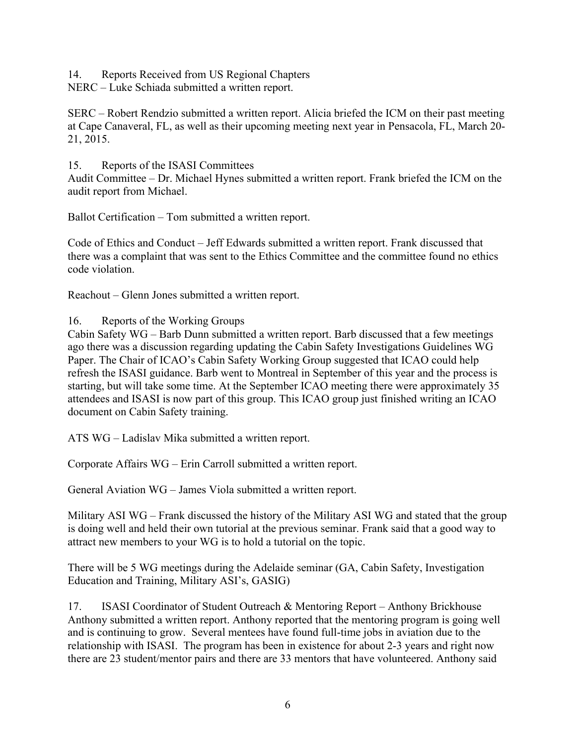14. Reports Received from US Regional Chapters

NERC – Luke Schiada submitted a written report.

SERC – Robert Rendzio submitted a written report. Alicia briefed the ICM on their past meeting at Cape Canaveral, FL, as well as their upcoming meeting next year in Pensacola, FL, March 20- 21, 2015.

15. Reports of the ISASI Committees

Audit Committee – Dr. Michael Hynes submitted a written report. Frank briefed the ICM on the audit report from Michael.

Ballot Certification – Tom submitted a written report.

Code of Ethics and Conduct – Jeff Edwards submitted a written report. Frank discussed that there was a complaint that was sent to the Ethics Committee and the committee found no ethics code violation.

Reachout – Glenn Jones submitted a written report.

16. Reports of the Working Groups

Cabin Safety WG – Barb Dunn submitted a written report. Barb discussed that a few meetings ago there was a discussion regarding updating the Cabin Safety Investigations Guidelines WG Paper. The Chair of ICAO's Cabin Safety Working Group suggested that ICAO could help refresh the ISASI guidance. Barb went to Montreal in September of this year and the process is starting, but will take some time. At the September ICAO meeting there were approximately 35 attendees and ISASI is now part of this group. This ICAO group just finished writing an ICAO document on Cabin Safety training.

ATS WG – Ladislav Mika submitted a written report.

Corporate Affairs WG – Erin Carroll submitted a written report.

General Aviation WG – James Viola submitted a written report.

Military ASI WG – Frank discussed the history of the Military ASI WG and stated that the group is doing well and held their own tutorial at the previous seminar. Frank said that a good way to attract new members to your WG is to hold a tutorial on the topic.

There will be 5 WG meetings during the Adelaide seminar (GA, Cabin Safety, Investigation Education and Training, Military ASI's, GASIG)

17. ISASI Coordinator of Student Outreach & Mentoring Report – Anthony Brickhouse Anthony submitted a written report. Anthony reported that the mentoring program is going well and is continuing to grow. Several mentees have found full-time jobs in aviation due to the relationship with ISASI. The program has been in existence for about 2-3 years and right now there are 23 student/mentor pairs and there are 33 mentors that have volunteered. Anthony said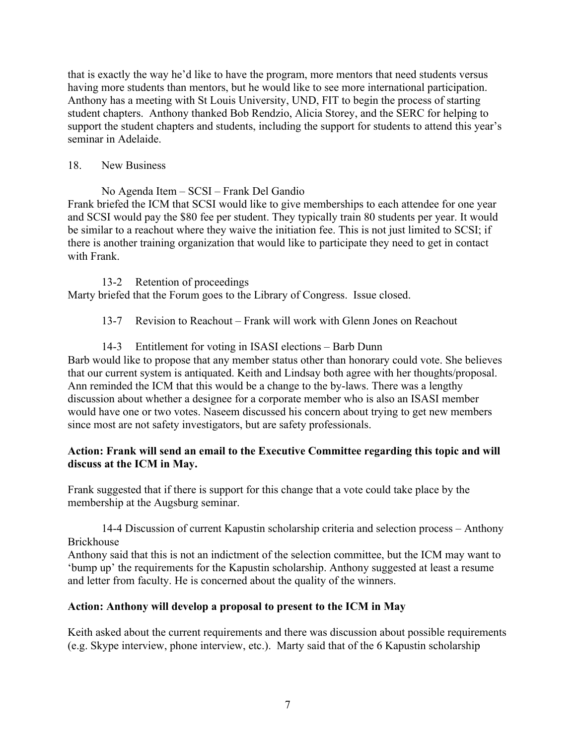that is exactly the way he'd like to have the program, more mentors that need students versus having more students than mentors, but he would like to see more international participation. Anthony has a meeting with St Louis University, UND, FIT to begin the process of starting student chapters. Anthony thanked Bob Rendzio, Alicia Storey, and the SERC for helping to support the student chapters and students, including the support for students to attend this year's seminar in Adelaide.

#### 18. New Business

No Agenda Item – SCSI – Frank Del Gandio Frank briefed the ICM that SCSI would like to give memberships to each attendee for one year and SCSI would pay the \$80 fee per student. They typically train 80 students per year. It would be similar to a reachout where they waive the initiation fee. This is not just limited to SCSI; if there is another training organization that would like to participate they need to get in contact with Frank.

#### 13-2 Retention of proceedings

Marty briefed that the Forum goes to the Library of Congress. Issue closed.

13-7 Revision to Reachout – Frank will work with Glenn Jones on Reachout

## 14-3 Entitlement for voting in ISASI elections – Barb Dunn

Barb would like to propose that any member status other than honorary could vote. She believes that our current system is antiquated. Keith and Lindsay both agree with her thoughts/proposal. Ann reminded the ICM that this would be a change to the by-laws. There was a lengthy discussion about whether a designee for a corporate member who is also an ISASI member would have one or two votes. Naseem discussed his concern about trying to get new members since most are not safety investigators, but are safety professionals.

#### **Action: Frank will send an email to the Executive Committee regarding this topic and will discuss at the ICM in May.**

Frank suggested that if there is support for this change that a vote could take place by the membership at the Augsburg seminar.

14-4 Discussion of current Kapustin scholarship criteria and selection process – Anthony Brickhouse

Anthony said that this is not an indictment of the selection committee, but the ICM may want to 'bump up' the requirements for the Kapustin scholarship. Anthony suggested at least a resume and letter from faculty. He is concerned about the quality of the winners.

## **Action: Anthony will develop a proposal to present to the ICM in May**

Keith asked about the current requirements and there was discussion about possible requirements (e.g. Skype interview, phone interview, etc.). Marty said that of the 6 Kapustin scholarship